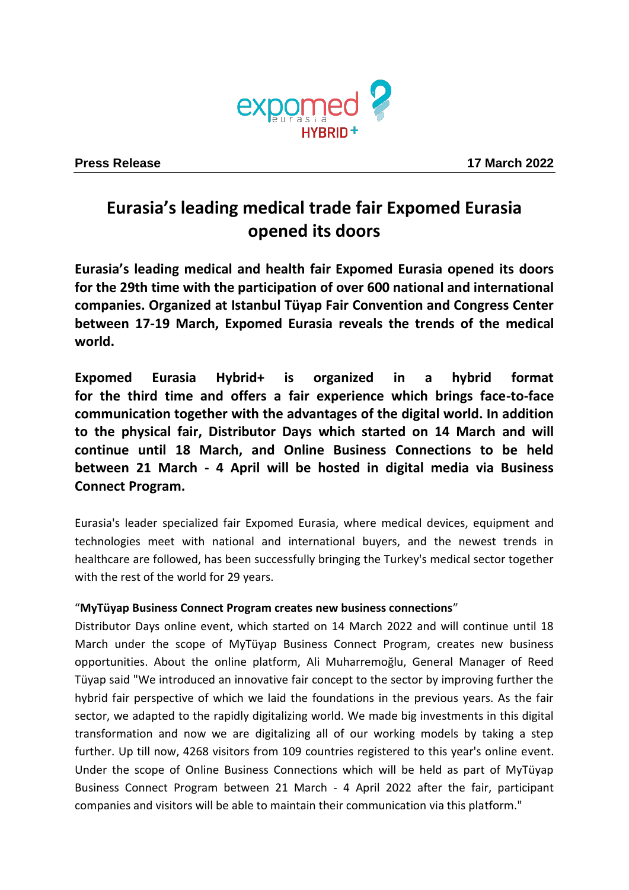

# **Eurasia's leading medical trade fair Expomed Eurasia opened its doors**

**Eurasia's leading medical and health fair Expomed Eurasia opened its doors for the 29th time with the participation of over 600 national and international companies. Organized at Istanbul Tüyap Fair Convention and Congress Center between 17-19 March, Expomed Eurasia reveals the trends of the medical world.**

**Expomed Eurasia Hybrid+ is organized in a hybrid format for the third time and offers a fair experience which brings face-to-face communication together with the advantages of the digital world. In addition to the physical fair, Distributor Days which started on 14 March and will continue until 18 March, and Online Business Connections to be held between 21 March - 4 April will be hosted in digital media via Business Connect Program.**

Eurasia's leader specialized fair Expomed Eurasia, where medical devices, equipment and technologies meet with national and international buyers, and the newest trends in healthcare are followed, has been successfully bringing the Turkey's medical sector together with the rest of the world for 29 years.

## "**MyTüyap Business Connect Program creates new business connections**"

Distributor Days online event, which started on 14 March 2022 and will continue until 18 March under the scope of MyTüyap Business Connect Program, creates new business opportunities. About the online platform, Ali Muharremoğlu, General Manager of Reed Tüyap said "We introduced an innovative fair concept to the sector by improving further the hybrid fair perspective of which we laid the foundations in the previous years. As the fair sector, we adapted to the rapidly digitalizing world. We made big investments in this digital transformation and now we are digitalizing all of our working models by taking a step further. Up till now, 4268 visitors from 109 countries registered to this year's online event. Under the scope of Online Business Connections which will be held as part of MyTüyap Business Connect Program between 21 March - 4 April 2022 after the fair, participant companies and visitors will be able to maintain their communication via this platform."